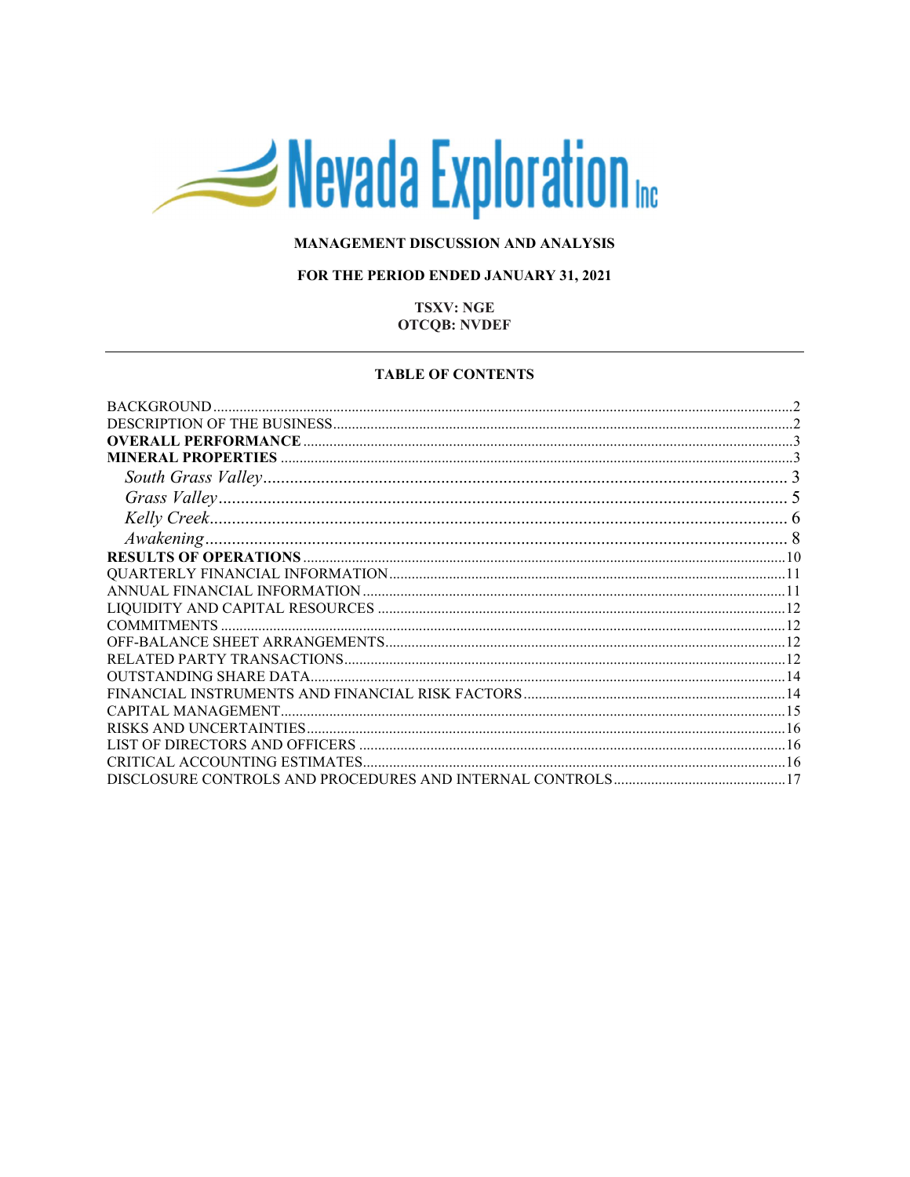# Nevada Exploration

## MANAGEMENT DISCUSSION AND ANALYSIS

## FOR THE PERIOD ENDED JANUARY 31, 2021

## **TSXV: NGE OTCQB: NVDEF**

#### **TABLE OF CONTENTS**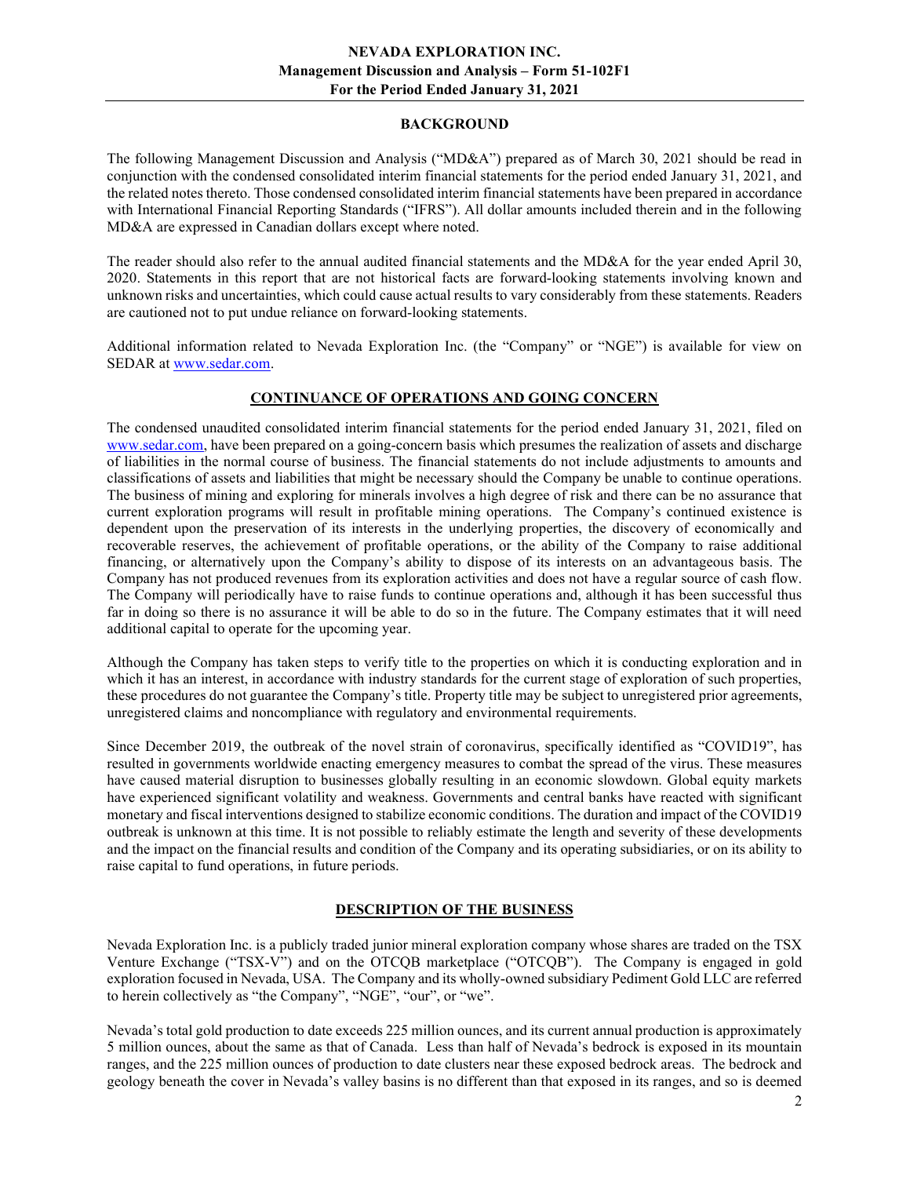#### BACKGROUND

The following Management Discussion and Analysis ("MD&A") prepared as of March 30, 2021 should be read in conjunction with the condensed consolidated interim financial statements for the period ended January 31, 2021, and the related notes thereto. Those condensed consolidated interim financial statements have been prepared in accordance with International Financial Reporting Standards ("IFRS"). All dollar amounts included therein and in the following MD&A are expressed in Canadian dollars except where noted.

The reader should also refer to the annual audited financial statements and the MD&A for the year ended April 30, 2020. Statements in this report that are not historical facts are forward-looking statements involving known and unknown risks and uncertainties, which could cause actual results to vary considerably from these statements. Readers are cautioned not to put undue reliance on forward-looking statements.

Additional information related to Nevada Exploration Inc. (the "Company" or "NGE") is available for view on SEDAR at www.sedar.com.

## CONTINUANCE OF OPERATIONS AND GOING CONCERN

The condensed unaudited consolidated interim financial statements for the period ended January 31, 2021, filed on www.sedar.com, have been prepared on a going-concern basis which presumes the realization of assets and discharge of liabilities in the normal course of business. The financial statements do not include adjustments to amounts and classifications of assets and liabilities that might be necessary should the Company be unable to continue operations. The business of mining and exploring for minerals involves a high degree of risk and there can be no assurance that current exploration programs will result in profitable mining operations. The Company's continued existence is dependent upon the preservation of its interests in the underlying properties, the discovery of economically and recoverable reserves, the achievement of profitable operations, or the ability of the Company to raise additional financing, or alternatively upon the Company's ability to dispose of its interests on an advantageous basis. The Company has not produced revenues from its exploration activities and does not have a regular source of cash flow. The Company will periodically have to raise funds to continue operations and, although it has been successful thus far in doing so there is no assurance it will be able to do so in the future. The Company estimates that it will need additional capital to operate for the upcoming year.

Although the Company has taken steps to verify title to the properties on which it is conducting exploration and in which it has an interest, in accordance with industry standards for the current stage of exploration of such properties, these procedures do not guarantee the Company's title. Property title may be subject to unregistered prior agreements, unregistered claims and noncompliance with regulatory and environmental requirements.

Since December 2019, the outbreak of the novel strain of coronavirus, specifically identified as "COVID19", has resulted in governments worldwide enacting emergency measures to combat the spread of the virus. These measures have caused material disruption to businesses globally resulting in an economic slowdown. Global equity markets have experienced significant volatility and weakness. Governments and central banks have reacted with significant monetary and fiscal interventions designed to stabilize economic conditions. The duration and impact of the COVID19 outbreak is unknown at this time. It is not possible to reliably estimate the length and severity of these developments and the impact on the financial results and condition of the Company and its operating subsidiaries, or on its ability to raise capital to fund operations, in future periods.

## DESCRIPTION OF THE BUSINESS

Nevada Exploration Inc. is a publicly traded junior mineral exploration company whose shares are traded on the TSX Venture Exchange ("TSX-V") and on the OTCQB marketplace ("OTCQB"). The Company is engaged in gold exploration focused in Nevada, USA. The Company and its wholly-owned subsidiary Pediment Gold LLC are referred to herein collectively as "the Company", "NGE", "our", or "we".

Nevada's total gold production to date exceeds 225 million ounces, and its current annual production is approximately 5 million ounces, about the same as that of Canada. Less than half of Nevada's bedrock is exposed in its mountain ranges, and the 225 million ounces of production to date clusters near these exposed bedrock areas. The bedrock and geology beneath the cover in Nevada's valley basins is no different than that exposed in its ranges, and so is deemed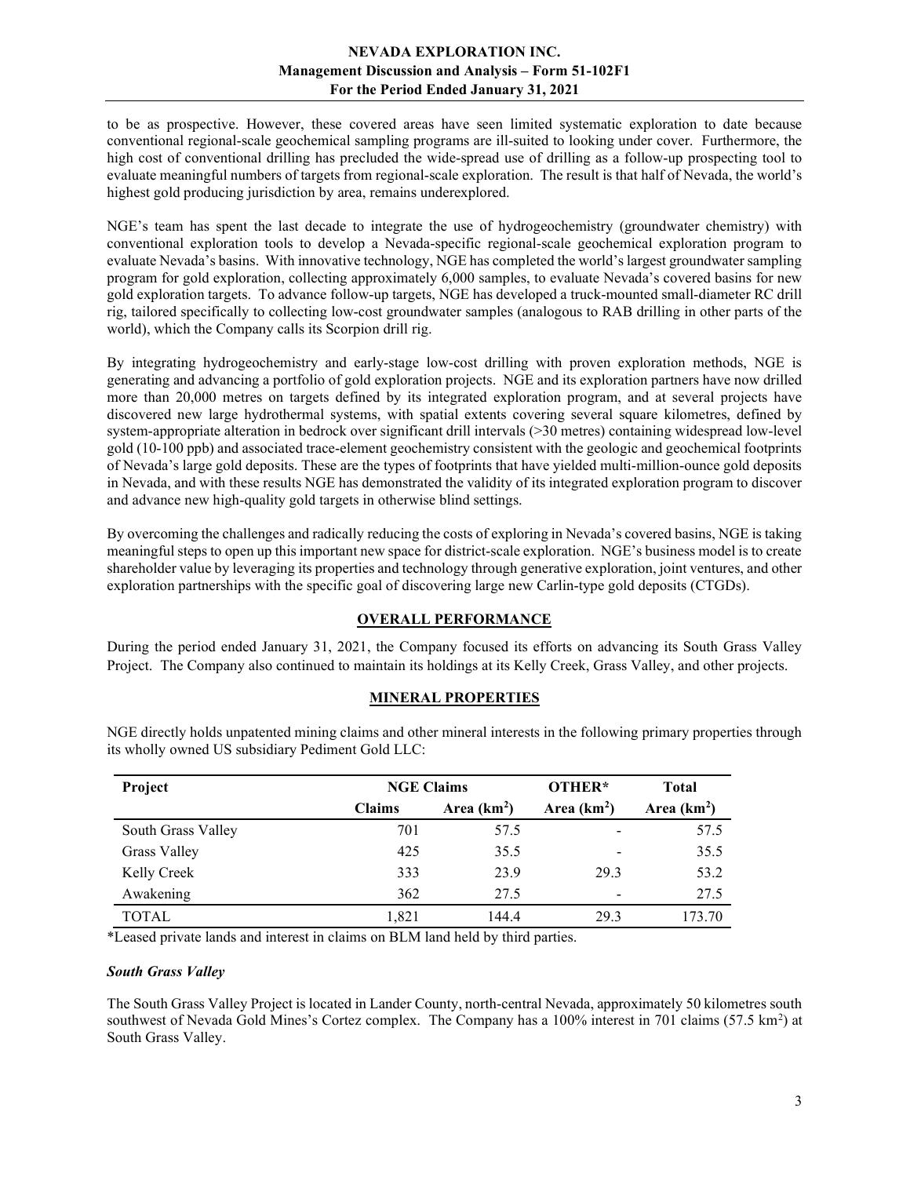to be as prospective. However, these covered areas have seen limited systematic exploration to date because conventional regional-scale geochemical sampling programs are ill-suited to looking under cover. Furthermore, the high cost of conventional drilling has precluded the wide-spread use of drilling as a follow-up prospecting tool to evaluate meaningful numbers of targets from regional-scale exploration. The result is that half of Nevada, the world's highest gold producing jurisdiction by area, remains underexplored.

NGE's team has spent the last decade to integrate the use of hydrogeochemistry (groundwater chemistry) with conventional exploration tools to develop a Nevada-specific regional-scale geochemical exploration program to evaluate Nevada's basins. With innovative technology, NGE has completed the world's largest groundwater sampling program for gold exploration, collecting approximately 6,000 samples, to evaluate Nevada's covered basins for new gold exploration targets. To advance follow-up targets, NGE has developed a truck-mounted small-diameter RC drill rig, tailored specifically to collecting low-cost groundwater samples (analogous to RAB drilling in other parts of the world), which the Company calls its Scorpion drill rig.

By integrating hydrogeochemistry and early-stage low-cost drilling with proven exploration methods, NGE is generating and advancing a portfolio of gold exploration projects. NGE and its exploration partners have now drilled more than 20,000 metres on targets defined by its integrated exploration program, and at several projects have discovered new large hydrothermal systems, with spatial extents covering several square kilometres, defined by system-appropriate alteration in bedrock over significant drill intervals (>30 metres) containing widespread low-level gold (10-100 ppb) and associated trace-element geochemistry consistent with the geologic and geochemical footprints of Nevada's large gold deposits. These are the types of footprints that have yielded multi-million-ounce gold deposits in Nevada, and with these results NGE has demonstrated the validity of its integrated exploration program to discover and advance new high-quality gold targets in otherwise blind settings.

By overcoming the challenges and radically reducing the costs of exploring in Nevada's covered basins, NGE is taking meaningful steps to open up this important new space for district-scale exploration. NGE's business model is to create shareholder value by leveraging its properties and technology through generative exploration, joint ventures, and other exploration partnerships with the specific goal of discovering large new Carlin-type gold deposits (CTGDs).

## OVERALL PERFORMANCE

During the period ended January 31, 2021, the Company focused its efforts on advancing its South Grass Valley Project. The Company also continued to maintain its holdings at its Kelly Creek, Grass Valley, and other projects.

# MINERAL PROPERTIES

| Project            | <b>NGE Claims</b> |              | OTHER*                   | <b>Total</b> |
|--------------------|-------------------|--------------|--------------------------|--------------|
|                    | <b>Claims</b>     | Area $(km2)$ | Area $(km2)$             | Area $(km2)$ |
| South Grass Valley | 701               | 57.5         |                          | 57.5         |
| Grass Valley       | 425               | 35.5         | $\overline{\phantom{a}}$ | 35.5         |
| Kelly Creek        | 333               | 23.9         | 29.3                     | 53.2         |
| Awakening          | 362               | 27.5         | $\overline{\phantom{0}}$ | 27.5         |
| <b>TOTAL</b>       | 1,821             | 144.4        | 29.3                     | 173.70       |

NGE directly holds unpatented mining claims and other mineral interests in the following primary properties through its wholly owned US subsidiary Pediment Gold LLC:

\*Leased private lands and interest in claims on BLM land held by third parties.

#### South Grass Valley

The South Grass Valley Project is located in Lander County, north-central Nevada, approximately 50 kilometres south southwest of Nevada Gold Mines's Cortez complex. The Company has a 100% interest in 701 claims (57.5 km<sup>2</sup>) at South Grass Valley.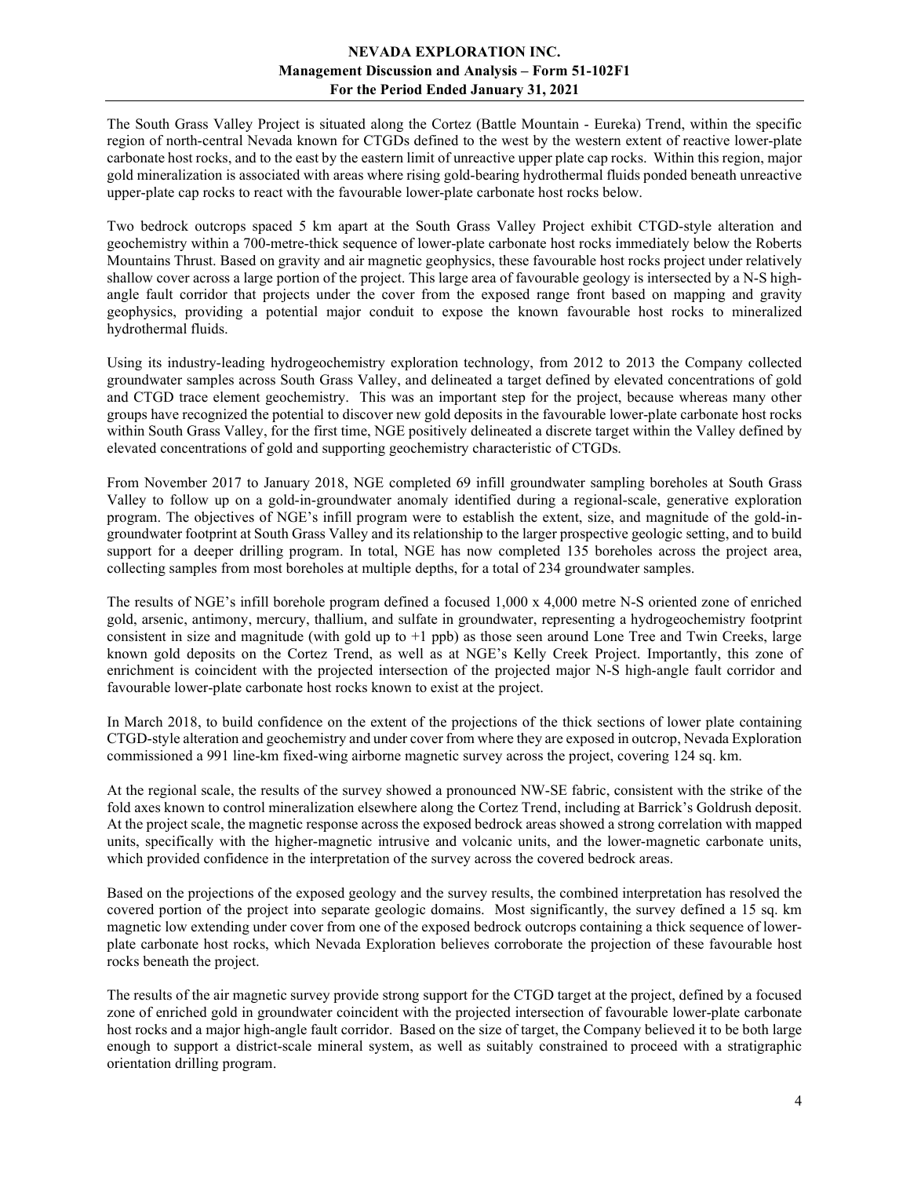The South Grass Valley Project is situated along the Cortez (Battle Mountain - Eureka) Trend, within the specific region of north-central Nevada known for CTGDs defined to the west by the western extent of reactive lower-plate carbonate host rocks, and to the east by the eastern limit of unreactive upper plate cap rocks. Within this region, major gold mineralization is associated with areas where rising gold-bearing hydrothermal fluids ponded beneath unreactive upper-plate cap rocks to react with the favourable lower-plate carbonate host rocks below.

Two bedrock outcrops spaced 5 km apart at the South Grass Valley Project exhibit CTGD-style alteration and geochemistry within a 700-metre-thick sequence of lower-plate carbonate host rocks immediately below the Roberts Mountains Thrust. Based on gravity and air magnetic geophysics, these favourable host rocks project under relatively shallow cover across a large portion of the project. This large area of favourable geology is intersected by a N-S highangle fault corridor that projects under the cover from the exposed range front based on mapping and gravity geophysics, providing a potential major conduit to expose the known favourable host rocks to mineralized hydrothermal fluids.

Using its industry-leading hydrogeochemistry exploration technology, from 2012 to 2013 the Company collected groundwater samples across South Grass Valley, and delineated a target defined by elevated concentrations of gold and CTGD trace element geochemistry. This was an important step for the project, because whereas many other groups have recognized the potential to discover new gold deposits in the favourable lower-plate carbonate host rocks within South Grass Valley, for the first time, NGE positively delineated a discrete target within the Valley defined by elevated concentrations of gold and supporting geochemistry characteristic of CTGDs.

From November 2017 to January 2018, NGE completed 69 infill groundwater sampling boreholes at South Grass Valley to follow up on a gold-in-groundwater anomaly identified during a regional-scale, generative exploration program. The objectives of NGE's infill program were to establish the extent, size, and magnitude of the gold-ingroundwater footprint at South Grass Valley and its relationship to the larger prospective geologic setting, and to build support for a deeper drilling program. In total, NGE has now completed 135 boreholes across the project area, collecting samples from most boreholes at multiple depths, for a total of 234 groundwater samples.

The results of NGE's infill borehole program defined a focused 1,000 x 4,000 metre N-S oriented zone of enriched gold, arsenic, antimony, mercury, thallium, and sulfate in groundwater, representing a hydrogeochemistry footprint consistent in size and magnitude (with gold up to +1 ppb) as those seen around Lone Tree and Twin Creeks, large known gold deposits on the Cortez Trend, as well as at NGE's Kelly Creek Project. Importantly, this zone of enrichment is coincident with the projected intersection of the projected major N-S high-angle fault corridor and favourable lower-plate carbonate host rocks known to exist at the project.

In March 2018, to build confidence on the extent of the projections of the thick sections of lower plate containing CTGD-style alteration and geochemistry and under cover from where they are exposed in outcrop, Nevada Exploration commissioned a 991 line-km fixed-wing airborne magnetic survey across the project, covering 124 sq. km.

At the regional scale, the results of the survey showed a pronounced NW-SE fabric, consistent with the strike of the fold axes known to control mineralization elsewhere along the Cortez Trend, including at Barrick's Goldrush deposit. At the project scale, the magnetic response across the exposed bedrock areas showed a strong correlation with mapped units, specifically with the higher-magnetic intrusive and volcanic units, and the lower-magnetic carbonate units, which provided confidence in the interpretation of the survey across the covered bedrock areas.

Based on the projections of the exposed geology and the survey results, the combined interpretation has resolved the covered portion of the project into separate geologic domains. Most significantly, the survey defined a 15 sq. km magnetic low extending under cover from one of the exposed bedrock outcrops containing a thick sequence of lowerplate carbonate host rocks, which Nevada Exploration believes corroborate the projection of these favourable host rocks beneath the project.

The results of the air magnetic survey provide strong support for the CTGD target at the project, defined by a focused zone of enriched gold in groundwater coincident with the projected intersection of favourable lower-plate carbonate host rocks and a major high-angle fault corridor. Based on the size of target, the Company believed it to be both large enough to support a district-scale mineral system, as well as suitably constrained to proceed with a stratigraphic orientation drilling program.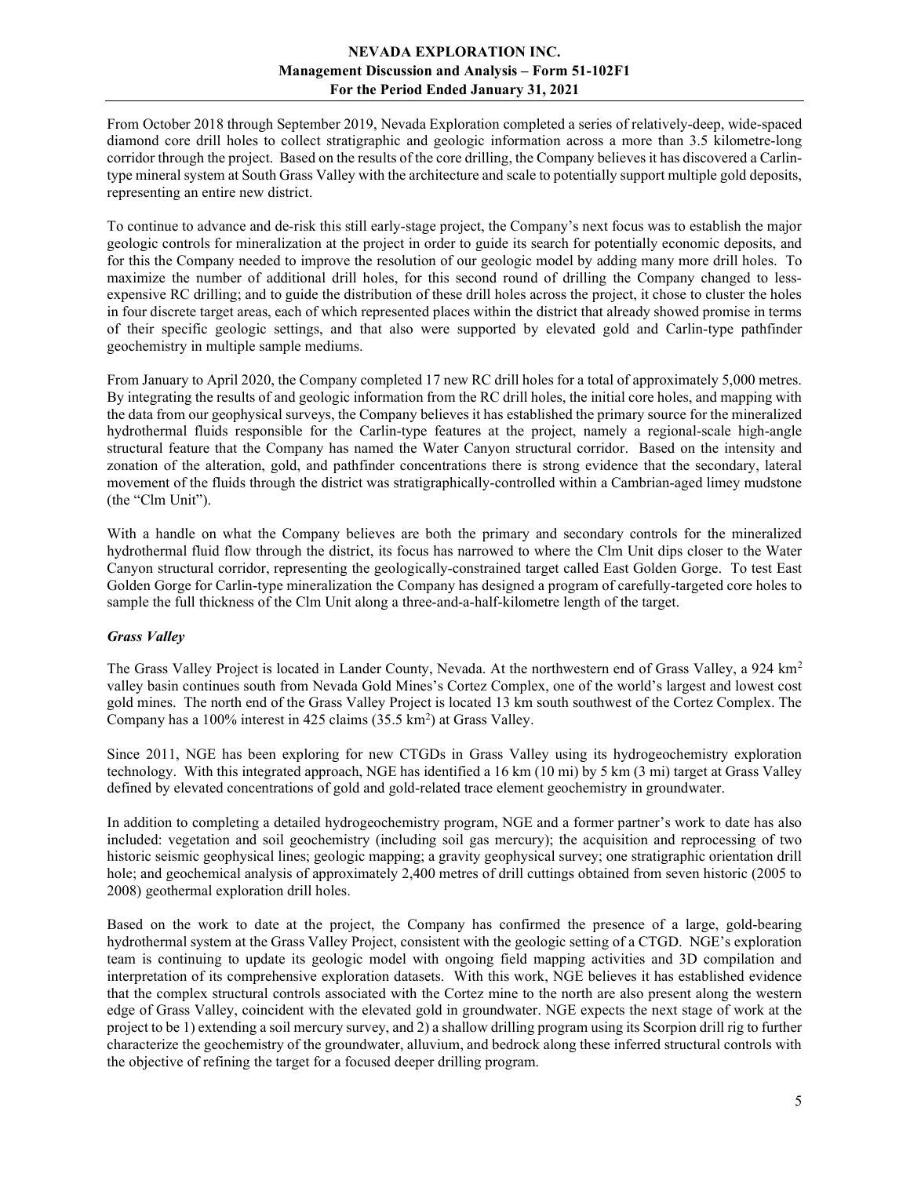From October 2018 through September 2019, Nevada Exploration completed a series of relatively-deep, wide-spaced diamond core drill holes to collect stratigraphic and geologic information across a more than 3.5 kilometre-long corridor through the project. Based on the results of the core drilling, the Company believes it has discovered a Carlintype mineral system at South Grass Valley with the architecture and scale to potentially support multiple gold deposits, representing an entire new district.

To continue to advance and de-risk this still early-stage project, the Company's next focus was to establish the major geologic controls for mineralization at the project in order to guide its search for potentially economic deposits, and for this the Company needed to improve the resolution of our geologic model by adding many more drill holes. To maximize the number of additional drill holes, for this second round of drilling the Company changed to lessexpensive RC drilling; and to guide the distribution of these drill holes across the project, it chose to cluster the holes in four discrete target areas, each of which represented places within the district that already showed promise in terms of their specific geologic settings, and that also were supported by elevated gold and Carlin-type pathfinder geochemistry in multiple sample mediums.

From January to April 2020, the Company completed 17 new RC drill holes for a total of approximately 5,000 metres. By integrating the results of and geologic information from the RC drill holes, the initial core holes, and mapping with the data from our geophysical surveys, the Company believes it has established the primary source for the mineralized hydrothermal fluids responsible for the Carlin-type features at the project, namely a regional-scale high-angle structural feature that the Company has named the Water Canyon structural corridor. Based on the intensity and zonation of the alteration, gold, and pathfinder concentrations there is strong evidence that the secondary, lateral movement of the fluids through the district was stratigraphically-controlled within a Cambrian-aged limey mudstone (the "Clm Unit").

With a handle on what the Company believes are both the primary and secondary controls for the mineralized hydrothermal fluid flow through the district, its focus has narrowed to where the Clm Unit dips closer to the Water Canyon structural corridor, representing the geologically-constrained target called East Golden Gorge. To test East Golden Gorge for Carlin-type mineralization the Company has designed a program of carefully-targeted core holes to sample the full thickness of the Clm Unit along a three-and-a-half-kilometre length of the target.

## Grass Valley

The Grass Valley Project is located in Lander County, Nevada. At the northwestern end of Grass Valley, a 924 km<sup>2</sup> valley basin continues south from Nevada Gold Mines's Cortez Complex, one of the world's largest and lowest cost gold mines. The north end of the Grass Valley Project is located 13 km south southwest of the Cortez Complex. The Company has a  $100\%$  interest in 425 claims (35.5 km<sup>2</sup>) at Grass Valley.

Since 2011, NGE has been exploring for new CTGDs in Grass Valley using its hydrogeochemistry exploration technology. With this integrated approach, NGE has identified a 16 km (10 mi) by 5 km (3 mi) target at Grass Valley defined by elevated concentrations of gold and gold-related trace element geochemistry in groundwater.

In addition to completing a detailed hydrogeochemistry program, NGE and a former partner's work to date has also included: vegetation and soil geochemistry (including soil gas mercury); the acquisition and reprocessing of two historic seismic geophysical lines; geologic mapping; a gravity geophysical survey; one stratigraphic orientation drill hole; and geochemical analysis of approximately 2,400 metres of drill cuttings obtained from seven historic (2005 to 2008) geothermal exploration drill holes.

Based on the work to date at the project, the Company has confirmed the presence of a large, gold-bearing hydrothermal system at the Grass Valley Project, consistent with the geologic setting of a CTGD. NGE's exploration team is continuing to update its geologic model with ongoing field mapping activities and 3D compilation and interpretation of its comprehensive exploration datasets. With this work, NGE believes it has established evidence that the complex structural controls associated with the Cortez mine to the north are also present along the western edge of Grass Valley, coincident with the elevated gold in groundwater. NGE expects the next stage of work at the project to be 1) extending a soil mercury survey, and 2) a shallow drilling program using its Scorpion drill rig to further characterize the geochemistry of the groundwater, alluvium, and bedrock along these inferred structural controls with the objective of refining the target for a focused deeper drilling program.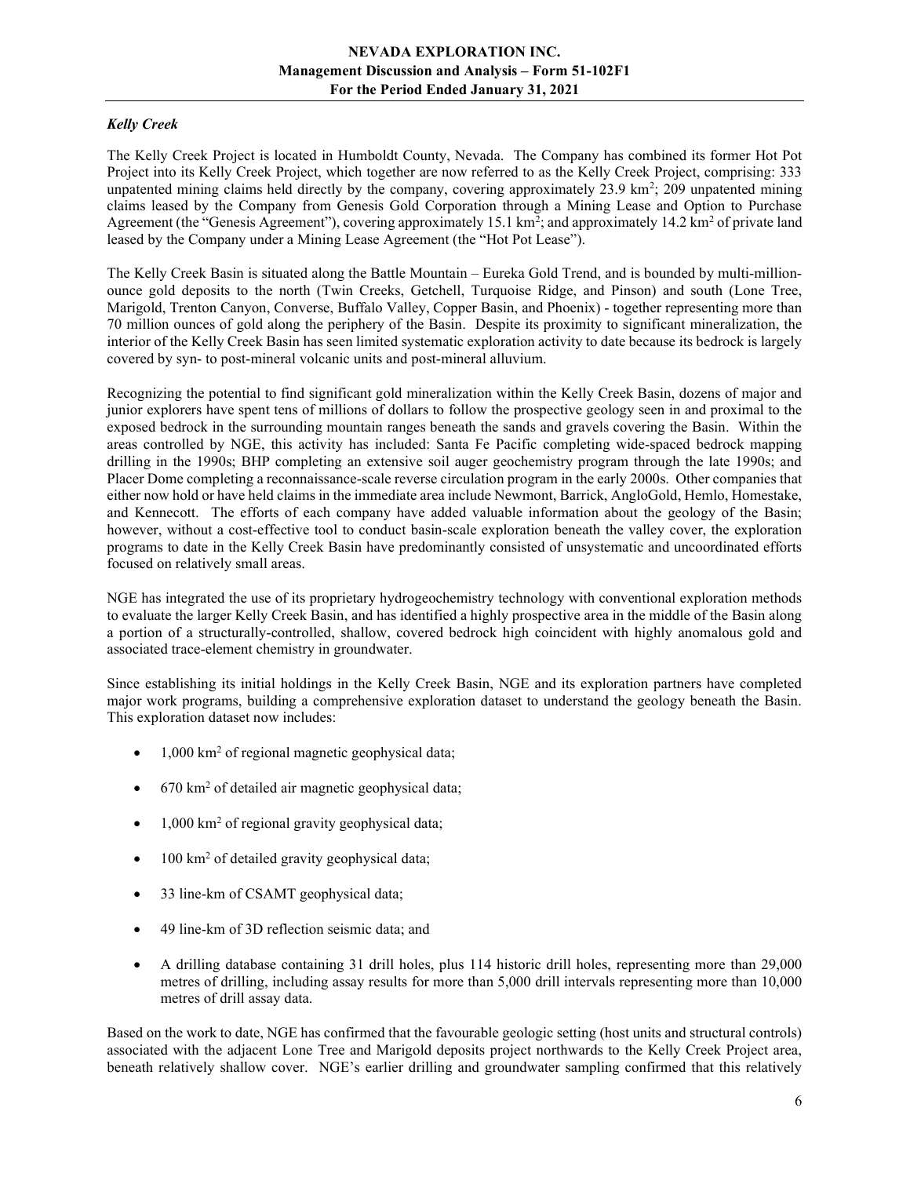# Kelly Creek

The Kelly Creek Project is located in Humboldt County, Nevada. The Company has combined its former Hot Pot Project into its Kelly Creek Project, which together are now referred to as the Kelly Creek Project, comprising: 333 unpatented mining claims held directly by the company, covering approximately 23.9 km<sup>2</sup>; 209 unpatented mining claims leased by the Company from Genesis Gold Corporation through a Mining Lease and Option to Purchase Agreement (the "Genesis Agreement"), covering approximately 15.1 km<sup>2</sup>; and approximately 14.2 km<sup>2</sup> of private land leased by the Company under a Mining Lease Agreement (the "Hot Pot Lease").

The Kelly Creek Basin is situated along the Battle Mountain – Eureka Gold Trend, and is bounded by multi-millionounce gold deposits to the north (Twin Creeks, Getchell, Turquoise Ridge, and Pinson) and south (Lone Tree, Marigold, Trenton Canyon, Converse, Buffalo Valley, Copper Basin, and Phoenix) - together representing more than 70 million ounces of gold along the periphery of the Basin. Despite its proximity to significant mineralization, the interior of the Kelly Creek Basin has seen limited systematic exploration activity to date because its bedrock is largely covered by syn- to post-mineral volcanic units and post-mineral alluvium.

Recognizing the potential to find significant gold mineralization within the Kelly Creek Basin, dozens of major and junior explorers have spent tens of millions of dollars to follow the prospective geology seen in and proximal to the exposed bedrock in the surrounding mountain ranges beneath the sands and gravels covering the Basin. Within the areas controlled by NGE, this activity has included: Santa Fe Pacific completing wide-spaced bedrock mapping drilling in the 1990s; BHP completing an extensive soil auger geochemistry program through the late 1990s; and Placer Dome completing a reconnaissance-scale reverse circulation program in the early 2000s. Other companies that either now hold or have held claims in the immediate area include Newmont, Barrick, AngloGold, Hemlo, Homestake, and Kennecott. The efforts of each company have added valuable information about the geology of the Basin; however, without a cost-effective tool to conduct basin-scale exploration beneath the valley cover, the exploration programs to date in the Kelly Creek Basin have predominantly consisted of unsystematic and uncoordinated efforts focused on relatively small areas.

NGE has integrated the use of its proprietary hydrogeochemistry technology with conventional exploration methods to evaluate the larger Kelly Creek Basin, and has identified a highly prospective area in the middle of the Basin along a portion of a structurally-controlled, shallow, covered bedrock high coincident with highly anomalous gold and associated trace-element chemistry in groundwater.

Since establishing its initial holdings in the Kelly Creek Basin, NGE and its exploration partners have completed major work programs, building a comprehensive exploration dataset to understand the geology beneath the Basin. This exploration dataset now includes:

- 1,000 km<sup>2</sup> of regional magnetic geophysical data;
- 670 km<sup>2</sup> of detailed air magnetic geophysical data;
- 1,000 km<sup>2</sup> of regional gravity geophysical data;
- $\bullet$  100 km<sup>2</sup> of detailed gravity geophysical data;
- 33 line-km of CSAMT geophysical data;
- 49 line-km of 3D reflection seismic data; and
- A drilling database containing 31 drill holes, plus 114 historic drill holes, representing more than 29,000 metres of drilling, including assay results for more than 5,000 drill intervals representing more than 10,000 metres of drill assay data.

Based on the work to date, NGE has confirmed that the favourable geologic setting (host units and structural controls) associated with the adjacent Lone Tree and Marigold deposits project northwards to the Kelly Creek Project area, beneath relatively shallow cover. NGE's earlier drilling and groundwater sampling confirmed that this relatively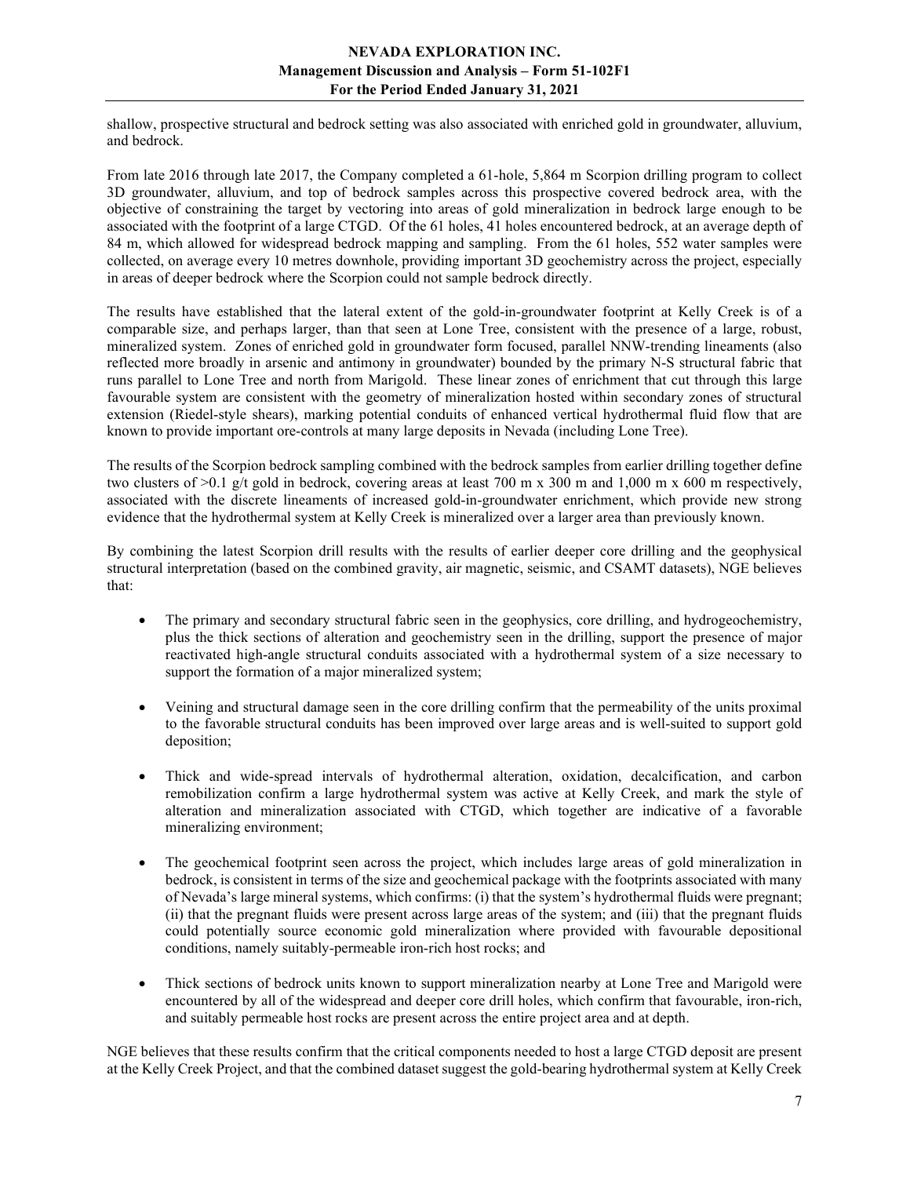shallow, prospective structural and bedrock setting was also associated with enriched gold in groundwater, alluvium, and bedrock.

From late 2016 through late 2017, the Company completed a 61-hole, 5,864 m Scorpion drilling program to collect 3D groundwater, alluvium, and top of bedrock samples across this prospective covered bedrock area, with the objective of constraining the target by vectoring into areas of gold mineralization in bedrock large enough to be associated with the footprint of a large CTGD. Of the 61 holes, 41 holes encountered bedrock, at an average depth of 84 m, which allowed for widespread bedrock mapping and sampling. From the 61 holes, 552 water samples were collected, on average every 10 metres downhole, providing important 3D geochemistry across the project, especially in areas of deeper bedrock where the Scorpion could not sample bedrock directly.

The results have established that the lateral extent of the gold-in-groundwater footprint at Kelly Creek is of a comparable size, and perhaps larger, than that seen at Lone Tree, consistent with the presence of a large, robust, mineralized system. Zones of enriched gold in groundwater form focused, parallel NNW-trending lineaments (also reflected more broadly in arsenic and antimony in groundwater) bounded by the primary N-S structural fabric that runs parallel to Lone Tree and north from Marigold. These linear zones of enrichment that cut through this large favourable system are consistent with the geometry of mineralization hosted within secondary zones of structural extension (Riedel-style shears), marking potential conduits of enhanced vertical hydrothermal fluid flow that are known to provide important ore-controls at many large deposits in Nevada (including Lone Tree).

The results of the Scorpion bedrock sampling combined with the bedrock samples from earlier drilling together define two clusters of  $>0.1$  g/t gold in bedrock, covering areas at least 700 m x 300 m and 1,000 m x 600 m respectively, associated with the discrete lineaments of increased gold-in-groundwater enrichment, which provide new strong evidence that the hydrothermal system at Kelly Creek is mineralized over a larger area than previously known.

By combining the latest Scorpion drill results with the results of earlier deeper core drilling and the geophysical structural interpretation (based on the combined gravity, air magnetic, seismic, and CSAMT datasets), NGE believes that:

- The primary and secondary structural fabric seen in the geophysics, core drilling, and hydrogeochemistry, plus the thick sections of alteration and geochemistry seen in the drilling, support the presence of major reactivated high-angle structural conduits associated with a hydrothermal system of a size necessary to support the formation of a major mineralized system;
- Veining and structural damage seen in the core drilling confirm that the permeability of the units proximal to the favorable structural conduits has been improved over large areas and is well-suited to support gold deposition;
- Thick and wide-spread intervals of hydrothermal alteration, oxidation, decalcification, and carbon remobilization confirm a large hydrothermal system was active at Kelly Creek, and mark the style of alteration and mineralization associated with CTGD, which together are indicative of a favorable mineralizing environment;
- The geochemical footprint seen across the project, which includes large areas of gold mineralization in bedrock, is consistent in terms of the size and geochemical package with the footprints associated with many of Nevada's large mineral systems, which confirms: (i) that the system's hydrothermal fluids were pregnant; (ii) that the pregnant fluids were present across large areas of the system; and (iii) that the pregnant fluids could potentially source economic gold mineralization where provided with favourable depositional conditions, namely suitably-permeable iron-rich host rocks; and
- Thick sections of bedrock units known to support mineralization nearby at Lone Tree and Marigold were encountered by all of the widespread and deeper core drill holes, which confirm that favourable, iron-rich, and suitably permeable host rocks are present across the entire project area and at depth.

NGE believes that these results confirm that the critical components needed to host a large CTGD deposit are present at the Kelly Creek Project, and that the combined dataset suggest the gold-bearing hydrothermal system at Kelly Creek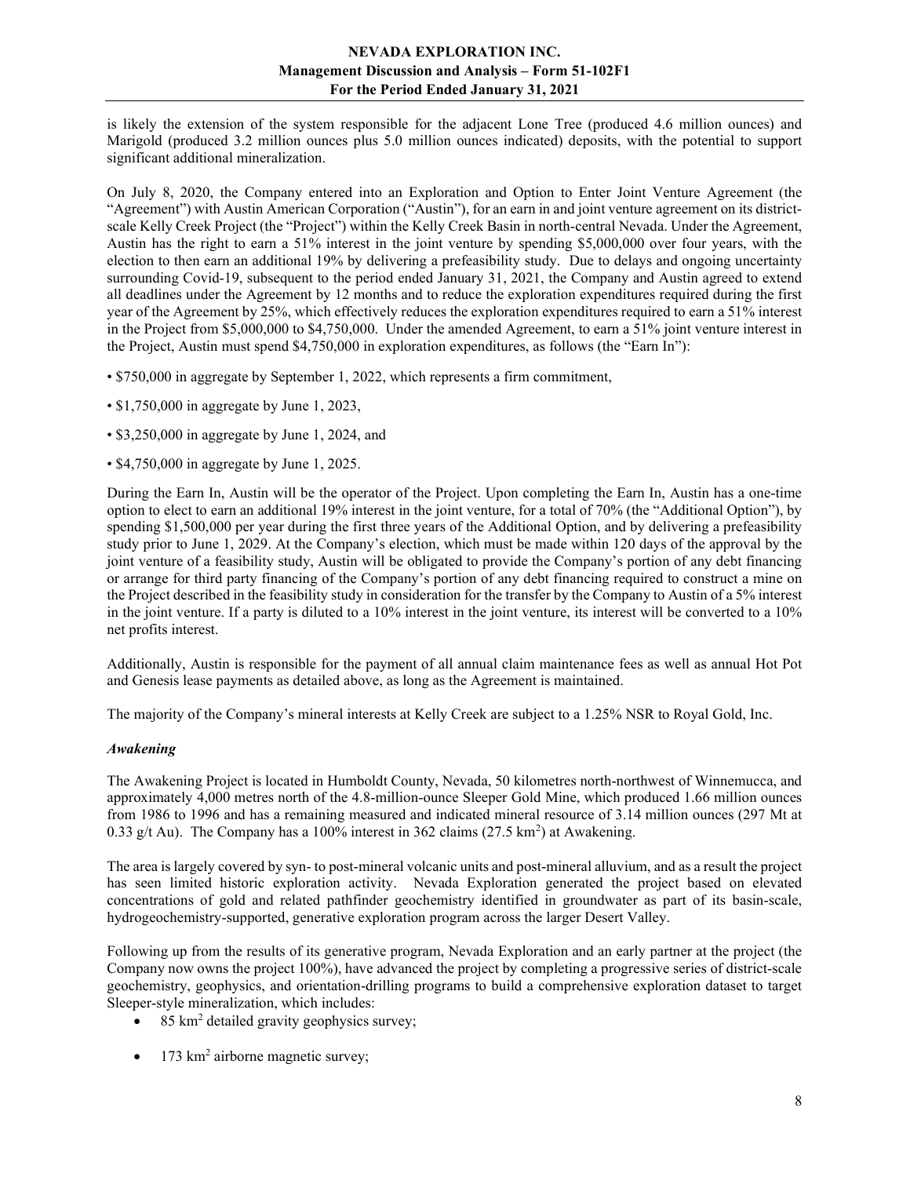is likely the extension of the system responsible for the adjacent Lone Tree (produced 4.6 million ounces) and Marigold (produced 3.2 million ounces plus 5.0 million ounces indicated) deposits, with the potential to support significant additional mineralization.

On July 8, 2020, the Company entered into an Exploration and Option to Enter Joint Venture Agreement (the "Agreement") with Austin American Corporation ("Austin"), for an earn in and joint venture agreement on its districtscale Kelly Creek Project (the "Project") within the Kelly Creek Basin in north-central Nevada. Under the Agreement, Austin has the right to earn a 51% interest in the joint venture by spending \$5,000,000 over four years, with the election to then earn an additional 19% by delivering a prefeasibility study. Due to delays and ongoing uncertainty surrounding Covid-19, subsequent to the period ended January 31, 2021, the Company and Austin agreed to extend all deadlines under the Agreement by 12 months and to reduce the exploration expenditures required during the first year of the Agreement by 25%, which effectively reduces the exploration expenditures required to earn a 51% interest in the Project from \$5,000,000 to \$4,750,000. Under the amended Agreement, to earn a 51% joint venture interest in the Project, Austin must spend \$4,750,000 in exploration expenditures, as follows (the "Earn In"):

- \$750,000 in aggregate by September 1, 2022, which represents a firm commitment,
- \$1,750,000 in aggregate by June 1, 2023,
- \$3,250,000 in aggregate by June 1, 2024, and
- \$4,750,000 in aggregate by June 1, 2025.

During the Earn In, Austin will be the operator of the Project. Upon completing the Earn In, Austin has a one-time option to elect to earn an additional 19% interest in the joint venture, for a total of 70% (the "Additional Option"), by spending \$1,500,000 per year during the first three years of the Additional Option, and by delivering a prefeasibility study prior to June 1, 2029. At the Company's election, which must be made within 120 days of the approval by the joint venture of a feasibility study, Austin will be obligated to provide the Company's portion of any debt financing or arrange for third party financing of the Company's portion of any debt financing required to construct a mine on the Project described in the feasibility study in consideration for the transfer by the Company to Austin of a 5% interest in the joint venture. If a party is diluted to a 10% interest in the joint venture, its interest will be converted to a 10% net profits interest.

Additionally, Austin is responsible for the payment of all annual claim maintenance fees as well as annual Hot Pot and Genesis lease payments as detailed above, as long as the Agreement is maintained.

The majority of the Company's mineral interests at Kelly Creek are subject to a 1.25% NSR to Royal Gold, Inc.

#### Awakening

The Awakening Project is located in Humboldt County, Nevada, 50 kilometres north-northwest of Winnemucca, and approximately 4,000 metres north of the 4.8-million-ounce Sleeper Gold Mine, which produced 1.66 million ounces from 1986 to 1996 and has a remaining measured and indicated mineral resource of 3.14 million ounces (297 Mt at 0.33 g/t Au). The Company has a 100% interest in 362 claims  $(27.5 \text{ km}^2)$  at Awakening.

The area is largely covered by syn- to post-mineral volcanic units and post-mineral alluvium, and as a result the project has seen limited historic exploration activity. Nevada Exploration generated the project based on elevated concentrations of gold and related pathfinder geochemistry identified in groundwater as part of its basin-scale, hydrogeochemistry-supported, generative exploration program across the larger Desert Valley.

Following up from the results of its generative program, Nevada Exploration and an early partner at the project (the Company now owns the project 100%), have advanced the project by completing a progressive series of district-scale geochemistry, geophysics, and orientation-drilling programs to build a comprehensive exploration dataset to target Sleeper-style mineralization, which includes:

- 85 km<sup>2</sup> detailed gravity geophysics survey;
- $\bullet$  173 km<sup>2</sup> airborne magnetic survey;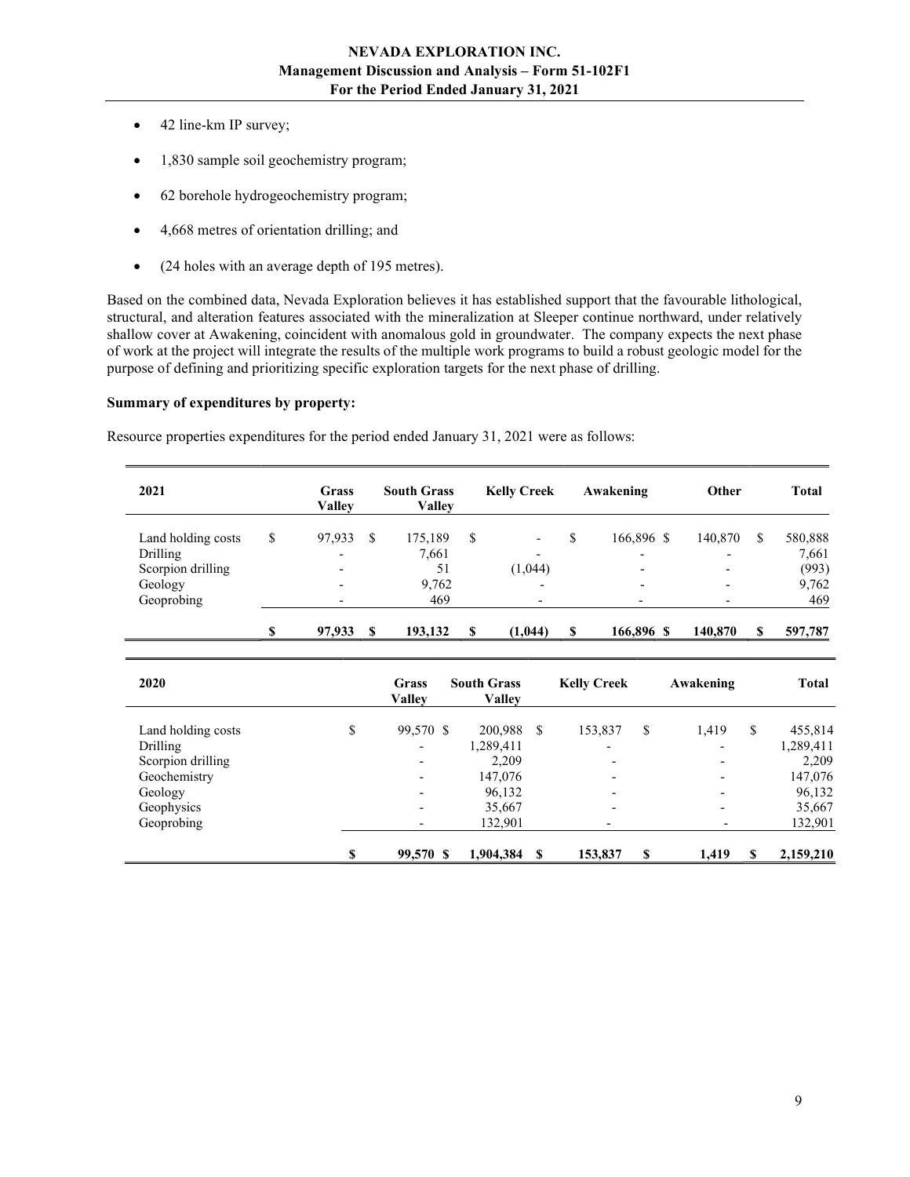- 42 line-km IP survey;
- 1,830 sample soil geochemistry program;
- 62 borehole hydrogeochemistry program;
- 4,668 metres of orientation drilling; and
- (24 holes with an average depth of 195 metres).

Based on the combined data, Nevada Exploration believes it has established support that the favourable lithological, structural, and alteration features associated with the mineralization at Sleeper continue northward, under relatively shallow cover at Awakening, coincident with anomalous gold in groundwater. The company expects the next phase of work at the project will integrate the results of the multiple work programs to build a robust geologic model for the purpose of defining and prioritizing specific exploration targets for the next phase of drilling.

#### Summary of expenditures by property:

Resource properties expenditures for the period ended January 31, 2021 were as follows:

| 2021               | Grass<br>Vallev          |    | <b>South Grass</b><br><b>Valley</b> |   | <b>Kelly Creek</b>       |   | Awakening                | Other                    |   | <b>Total</b> |
|--------------------|--------------------------|----|-------------------------------------|---|--------------------------|---|--------------------------|--------------------------|---|--------------|
| Land holding costs | 97,933                   | \$ | 175,189                             | S |                          |   | 166,896 \$               | 140,870                  | S | 580,888      |
| Drilling           | $\overline{\phantom{0}}$ |    | 7,661                               |   | $\overline{\phantom{0}}$ |   | $\overline{\phantom{0}}$ | $\overline{\phantom{0}}$ |   | 7,661        |
| Scorpion drilling  | $\overline{\phantom{a}}$ |    | 51                                  |   | (1,044)                  |   | $\overline{\phantom{0}}$ |                          |   | (993)        |
| Geology            |                          |    | 9,762                               |   | $\overline{\phantom{0}}$ |   | $\overline{\phantom{0}}$ |                          |   | 9,762        |
| Geoprobing         |                          |    | 469                                 |   |                          |   | $\overline{\phantom{0}}$ |                          |   | 469          |
|                    | 97,933                   | -S | 193,132                             | S | (1,044)                  | S | 166,896 \$               | 140,870                  |   | 597,787      |

| 2020               | Grass<br><b>Valley</b>   | <b>South Grass</b><br><b>Valley</b> |     | <b>Kelly Creek</b>       |    | Awakening                |    | <b>Total</b> |
|--------------------|--------------------------|-------------------------------------|-----|--------------------------|----|--------------------------|----|--------------|
| Land holding costs | \$<br>99,570 \$          | 200,988                             | S   | 153,837                  | \$ | 1,419                    | \$ | 455,814      |
| Drilling           | $\overline{\phantom{a}}$ | 1,289,411                           |     | $\overline{\phantom{0}}$ |    | $\overline{\phantom{a}}$ |    | 1,289,411    |
| Scorpion drilling  | $\overline{\phantom{0}}$ | 2,209                               |     | $\overline{\phantom{0}}$ |    | $\overline{\phantom{0}}$ |    | 2,209        |
| Geochemistry       |                          | 147,076                             |     | $\overline{\phantom{a}}$ |    | $\overline{\phantom{0}}$ |    | 147,076      |
| Geology            |                          | 96,132                              |     | $\overline{\phantom{a}}$ |    | $\overline{\phantom{0}}$ |    | 96,132       |
| Geophysics         |                          | 35,667                              |     | $\overline{\phantom{0}}$ |    | $\overline{\phantom{0}}$ |    | 35,667       |
| Geoprobing         | $\overline{\phantom{0}}$ | 132,901                             |     |                          |    |                          |    | 132,901      |
|                    | 99,570 \$                | 1,904,384                           | \$. | 153,837                  | S  | 1,419                    | S  | 2,159,210    |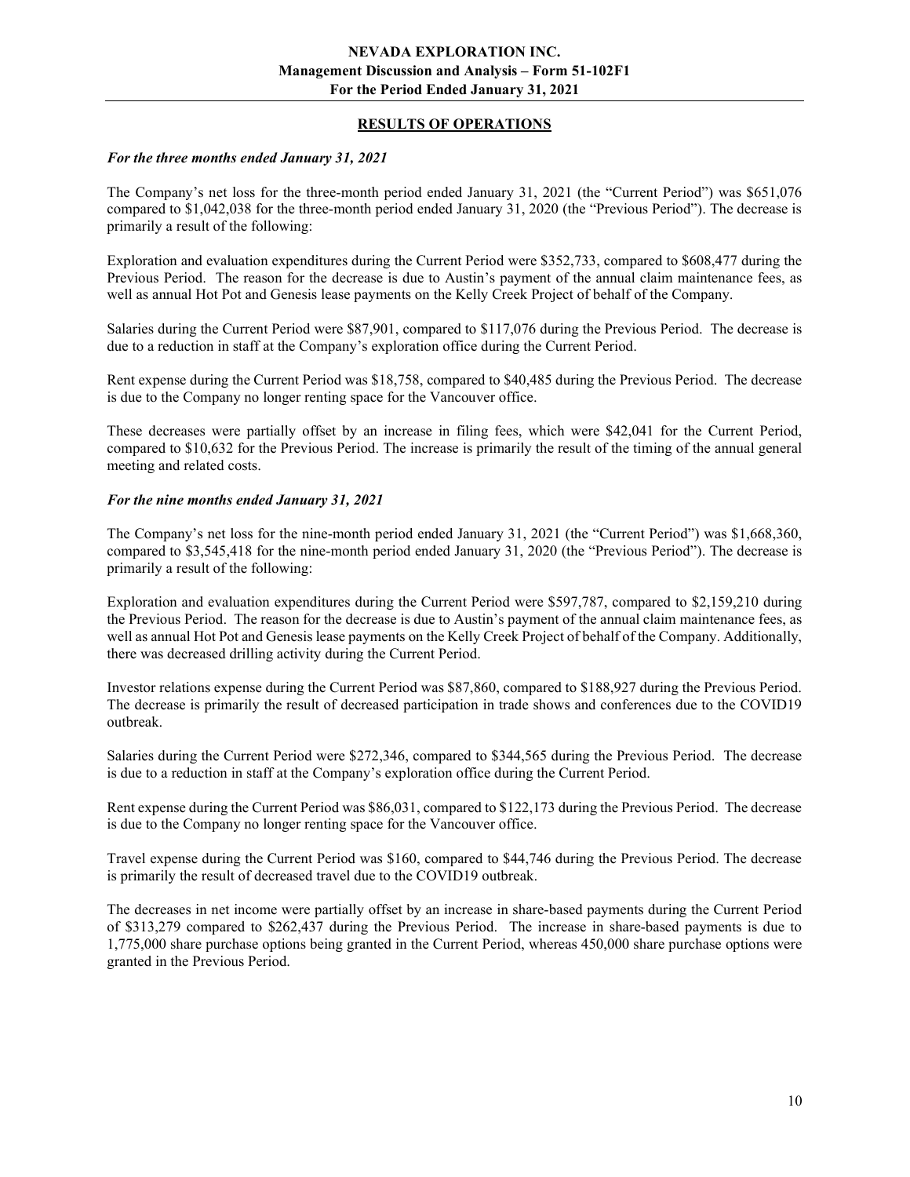## RESULTS OF OPERATIONS

#### For the three months ended January 31, 2021

The Company's net loss for the three-month period ended January 31, 2021 (the "Current Period") was \$651,076 compared to \$1,042,038 for the three-month period ended January 31, 2020 (the "Previous Period"). The decrease is primarily a result of the following:

Exploration and evaluation expenditures during the Current Period were \$352,733, compared to \$608,477 during the Previous Period. The reason for the decrease is due to Austin's payment of the annual claim maintenance fees, as well as annual Hot Pot and Genesis lease payments on the Kelly Creek Project of behalf of the Company.

Salaries during the Current Period were \$87,901, compared to \$117,076 during the Previous Period. The decrease is due to a reduction in staff at the Company's exploration office during the Current Period.

Rent expense during the Current Period was \$18,758, compared to \$40,485 during the Previous Period. The decrease is due to the Company no longer renting space for the Vancouver office.

These decreases were partially offset by an increase in filing fees, which were \$42,041 for the Current Period, compared to \$10,632 for the Previous Period. The increase is primarily the result of the timing of the annual general meeting and related costs.

#### For the nine months ended January 31, 2021

The Company's net loss for the nine-month period ended January 31, 2021 (the "Current Period") was \$1,668,360, compared to \$3,545,418 for the nine-month period ended January 31, 2020 (the "Previous Period"). The decrease is primarily a result of the following:

Exploration and evaluation expenditures during the Current Period were \$597,787, compared to \$2,159,210 during the Previous Period. The reason for the decrease is due to Austin's payment of the annual claim maintenance fees, as well as annual Hot Pot and Genesis lease payments on the Kelly Creek Project of behalf of the Company. Additionally, there was decreased drilling activity during the Current Period.

Investor relations expense during the Current Period was \$87,860, compared to \$188,927 during the Previous Period. The decrease is primarily the result of decreased participation in trade shows and conferences due to the COVID19 outbreak.

Salaries during the Current Period were \$272,346, compared to \$344,565 during the Previous Period. The decrease is due to a reduction in staff at the Company's exploration office during the Current Period.

Rent expense during the Current Period was \$86,031, compared to \$122,173 during the Previous Period. The decrease is due to the Company no longer renting space for the Vancouver office.

Travel expense during the Current Period was \$160, compared to \$44,746 during the Previous Period. The decrease is primarily the result of decreased travel due to the COVID19 outbreak.

The decreases in net income were partially offset by an increase in share-based payments during the Current Period of \$313,279 compared to \$262,437 during the Previous Period. The increase in share-based payments is due to 1,775,000 share purchase options being granted in the Current Period, whereas 450,000 share purchase options were granted in the Previous Period.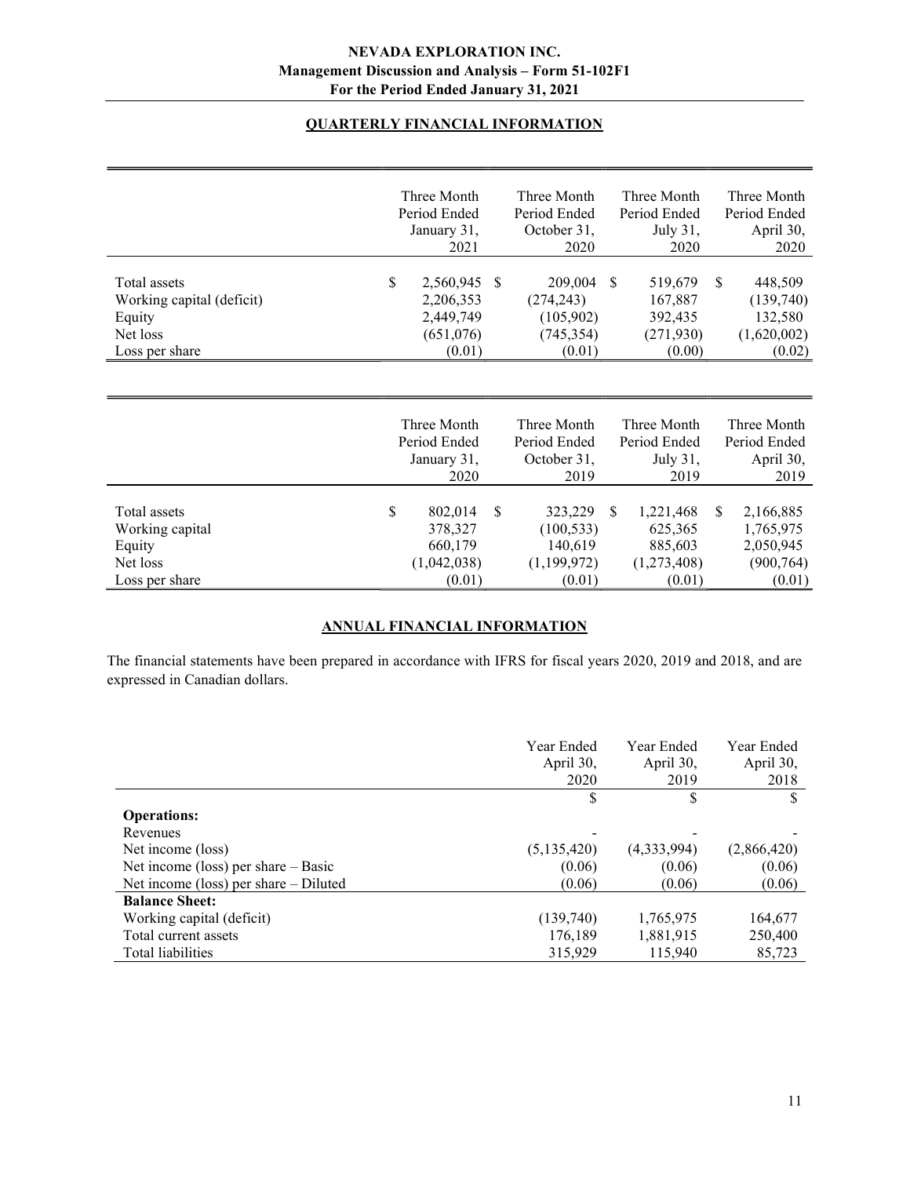# QUARTERLY FINANCIAL INFORMATION

|                                                                                   | Three Month<br>Period Ended<br>January 31,<br>2021               |               | Three Month<br>Period Ended<br>October 31,<br>2020         |               | Three Month<br>Period Ended<br>July 31,<br>2020          |               | Three Month<br>Period Ended<br>April 30,<br>2020            |
|-----------------------------------------------------------------------------------|------------------------------------------------------------------|---------------|------------------------------------------------------------|---------------|----------------------------------------------------------|---------------|-------------------------------------------------------------|
| Total assets<br>Working capital (deficit)<br>Equity<br>Net loss<br>Loss per share | \$<br>2,560,945<br>2,206,353<br>2,449,749<br>(651,076)<br>(0.01) | <sup>\$</sup> | 209,004<br>(274, 243)<br>(105,902)<br>(745, 354)<br>(0.01) | <sup>\$</sup> | 519,679<br>167,887<br>392,435<br>(271, 930)<br>(0.00)    | <sup>\$</sup> | 448,509<br>(139,740)<br>132,580<br>(1,620,002)<br>(0.02)    |
|                                                                                   | Three Month<br>Period Ended<br>January 31,<br>2020               |               | Three Month<br>Period Ended<br>October 31,<br>2019         |               | Three Month<br>Period Ended<br>July 31,<br>2019          |               | Three Month<br>Period Ended<br>April 30,<br>2019            |
| Total assets<br>Working capital<br>Equity<br>Net loss<br>Loss per share           | \$<br>802,014<br>378,327<br>660,179<br>(1,042,038)<br>(0.01)     | \$            | 323,229<br>(100, 533)<br>140,619<br>(1,199,972)<br>(0.01)  | \$.           | 1,221,468<br>625,365<br>885,603<br>(1,273,408)<br>(0.01) | <sup>S</sup>  | 2,166,885<br>1,765,975<br>2,050,945<br>(900, 764)<br>(0.01) |

# ANNUAL FINANCIAL INFORMATION

The financial statements have been prepared in accordance with IFRS for fiscal years 2020, 2019 and 2018, and are expressed in Canadian dollars.

|                                         | Year Ended<br>April 30, | Year Ended<br>April 30, | Year Ended<br>April 30, |
|-----------------------------------------|-------------------------|-------------------------|-------------------------|
|                                         | 2020                    | 2019                    | 2018                    |
|                                         | \$                      | \$                      |                         |
| <b>Operations:</b>                      |                         |                         |                         |
| Revenues                                |                         |                         |                         |
| Net income (loss)                       | (5,135,420)             | (4,333,994)             | (2,866,420)             |
| Net income (loss) per share $-$ Basic   | (0.06)                  | (0.06)                  | (0.06)                  |
| Net income (loss) per share $-$ Diluted | (0.06)                  | (0.06)                  | (0.06)                  |
| <b>Balance Sheet:</b>                   |                         |                         |                         |
| Working capital (deficit)               | (139,740)               | 1,765,975               | 164,677                 |
| Total current assets                    | 176.189                 | 1,881,915               | 250,400                 |
| Total liabilities                       | 315,929                 | 115,940                 | 85,723                  |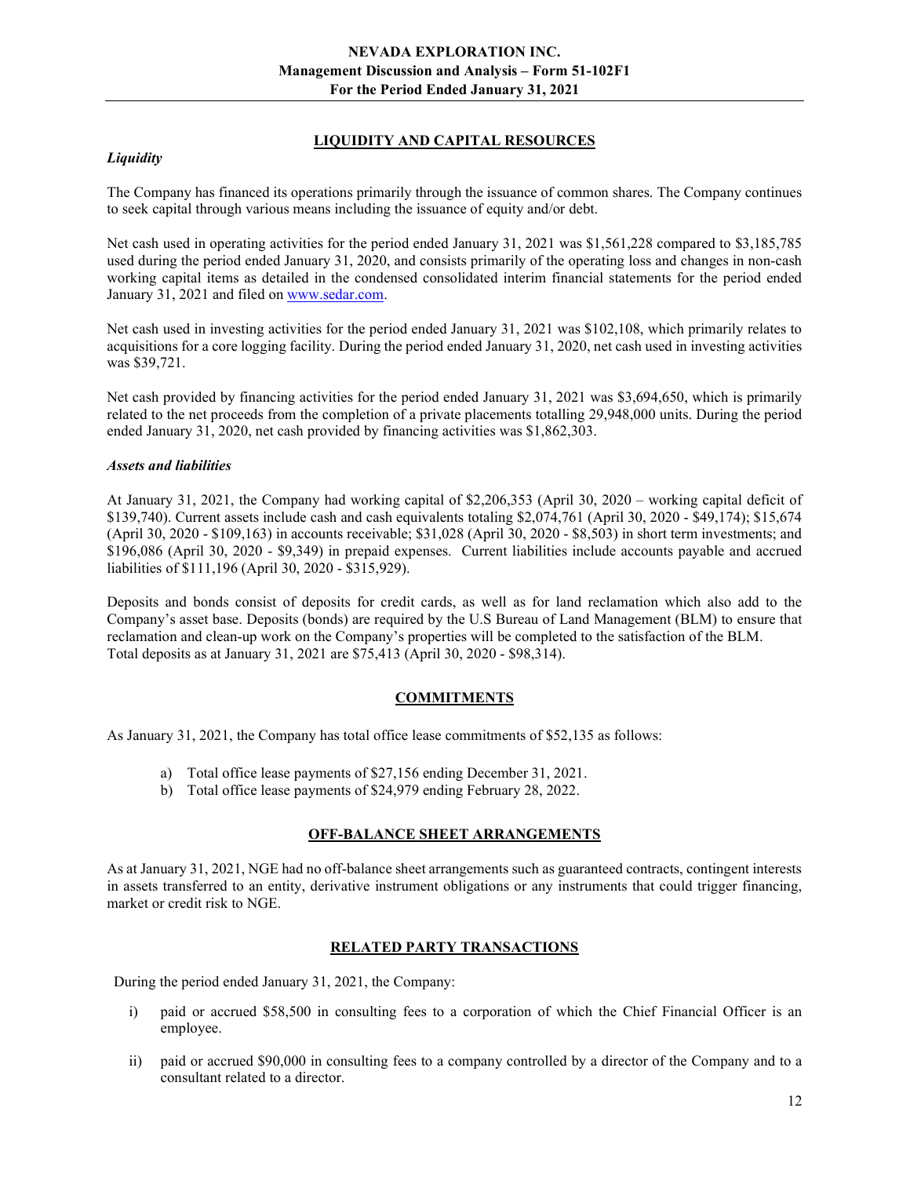## LIQUIDITY AND CAPITAL RESOURCES

## **Liquidity**

The Company has financed its operations primarily through the issuance of common shares. The Company continues to seek capital through various means including the issuance of equity and/or debt.

Net cash used in operating activities for the period ended January 31, 2021 was \$1,561,228 compared to \$3,185,785 used during the period ended January 31, 2020, and consists primarily of the operating loss and changes in non-cash working capital items as detailed in the condensed consolidated interim financial statements for the period ended January 31, 2021 and filed on www.sedar.com.

Net cash used in investing activities for the period ended January 31, 2021 was \$102,108, which primarily relates to acquisitions for a core logging facility. During the period ended January 31, 2020, net cash used in investing activities was \$39,721.

Net cash provided by financing activities for the period ended January 31, 2021 was \$3,694,650, which is primarily related to the net proceeds from the completion of a private placements totalling 29,948,000 units. During the period ended January 31, 2020, net cash provided by financing activities was \$1,862,303.

## Assets and liabilities

At January 31, 2021, the Company had working capital of \$2,206,353 (April 30, 2020 – working capital deficit of \$139,740). Current assets include cash and cash equivalents totaling \$2,074,761 (April 30, 2020 - \$49,174); \$15,674 (April 30, 2020 - \$109,163) in accounts receivable; \$31,028 (April 30, 2020 - \$8,503) in short term investments; and \$196,086 (April 30, 2020 - \$9,349) in prepaid expenses. Current liabilities include accounts payable and accrued liabilities of \$111,196 (April 30, 2020 - \$315,929).

Deposits and bonds consist of deposits for credit cards, as well as for land reclamation which also add to the Company's asset base. Deposits (bonds) are required by the U.S Bureau of Land Management (BLM) to ensure that reclamation and clean-up work on the Company's properties will be completed to the satisfaction of the BLM. Total deposits as at January 31, 2021 are \$75,413 (April 30, 2020 - \$98,314).

## COMMITMENTS

As January 31, 2021, the Company has total office lease commitments of \$52,135 as follows:

- a) Total office lease payments of \$27,156 ending December 31, 2021.
- b) Total office lease payments of \$24,979 ending February 28, 2022.

## OFF-BALANCE SHEET ARRANGEMENTS

As at January 31, 2021, NGE had no off-balance sheet arrangements such as guaranteed contracts, contingent interests in assets transferred to an entity, derivative instrument obligations or any instruments that could trigger financing, market or credit risk to NGE.

## RELATED PARTY TRANSACTIONS

During the period ended January 31, 2021, the Company:

- i) paid or accrued \$58,500 in consulting fees to a corporation of which the Chief Financial Officer is an employee.
- ii) paid or accrued \$90,000 in consulting fees to a company controlled by a director of the Company and to a consultant related to a director.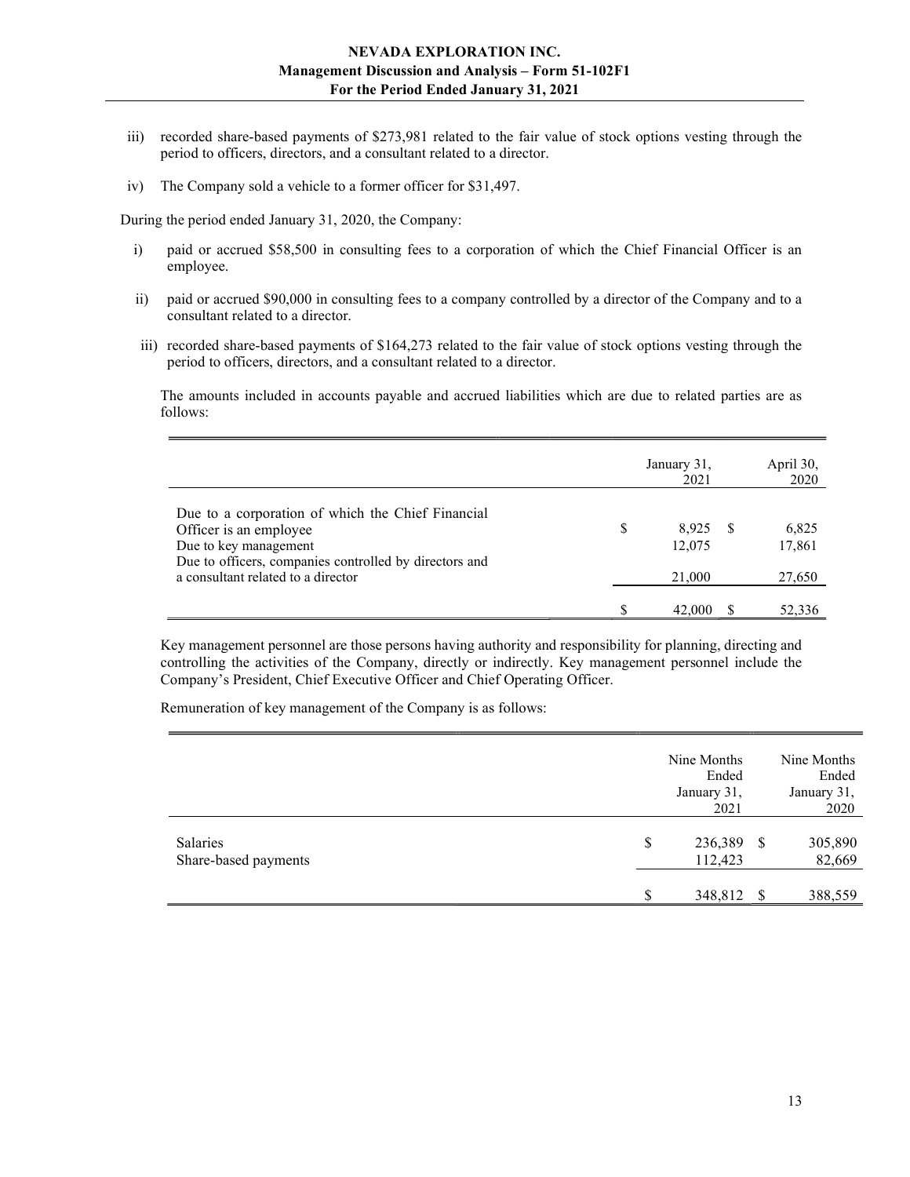- iii) recorded share-based payments of \$273,981 related to the fair value of stock options vesting through the period to officers, directors, and a consultant related to a director.
- iv) The Company sold a vehicle to a former officer for \$31,497.

During the period ended January 31, 2020, the Company:

- i) paid or accrued \$58,500 in consulting fees to a corporation of which the Chief Financial Officer is an employee.
- ii) paid or accrued \$90,000 in consulting fees to a company controlled by a director of the Company and to a consultant related to a director.
- iii) recorded share-based payments of \$164,273 related to the fair value of stock options vesting through the period to officers, directors, and a consultant related to a director.

The amounts included in accounts payable and accrued liabilities which are due to related parties are as follows:

|                                                                                                                                                                                                      |   | January 31,<br>2021       |     | April 30,<br>2020         |
|------------------------------------------------------------------------------------------------------------------------------------------------------------------------------------------------------|---|---------------------------|-----|---------------------------|
| Due to a corporation of which the Chief Financial<br>Officer is an employee<br>Due to key management<br>Due to officers, companies controlled by directors and<br>a consultant related to a director | S | 8.925<br>12,075<br>21,000 | - S | 6,825<br>17,861<br>27,650 |
|                                                                                                                                                                                                      |   | 42,000                    |     | 52,336                    |

Key management personnel are those persons having authority and responsibility for planning, directing and controlling the activities of the Company, directly or indirectly. Key management personnel include the Company's President, Chief Executive Officer and Chief Operating Officer.

Remuneration of key management of the Company is as follows:

|                                         |    | Nine Months<br>Ended<br>January 31,<br>2021 |      | Nine Months<br>Ended<br>January 31,<br>2020 |
|-----------------------------------------|----|---------------------------------------------|------|---------------------------------------------|
| <b>Salaries</b><br>Share-based payments | \$ | 236,389<br>112,423                          | - \$ | 305,890<br>82,669                           |
|                                         | S  | 348,812                                     | - \$ | 388,559                                     |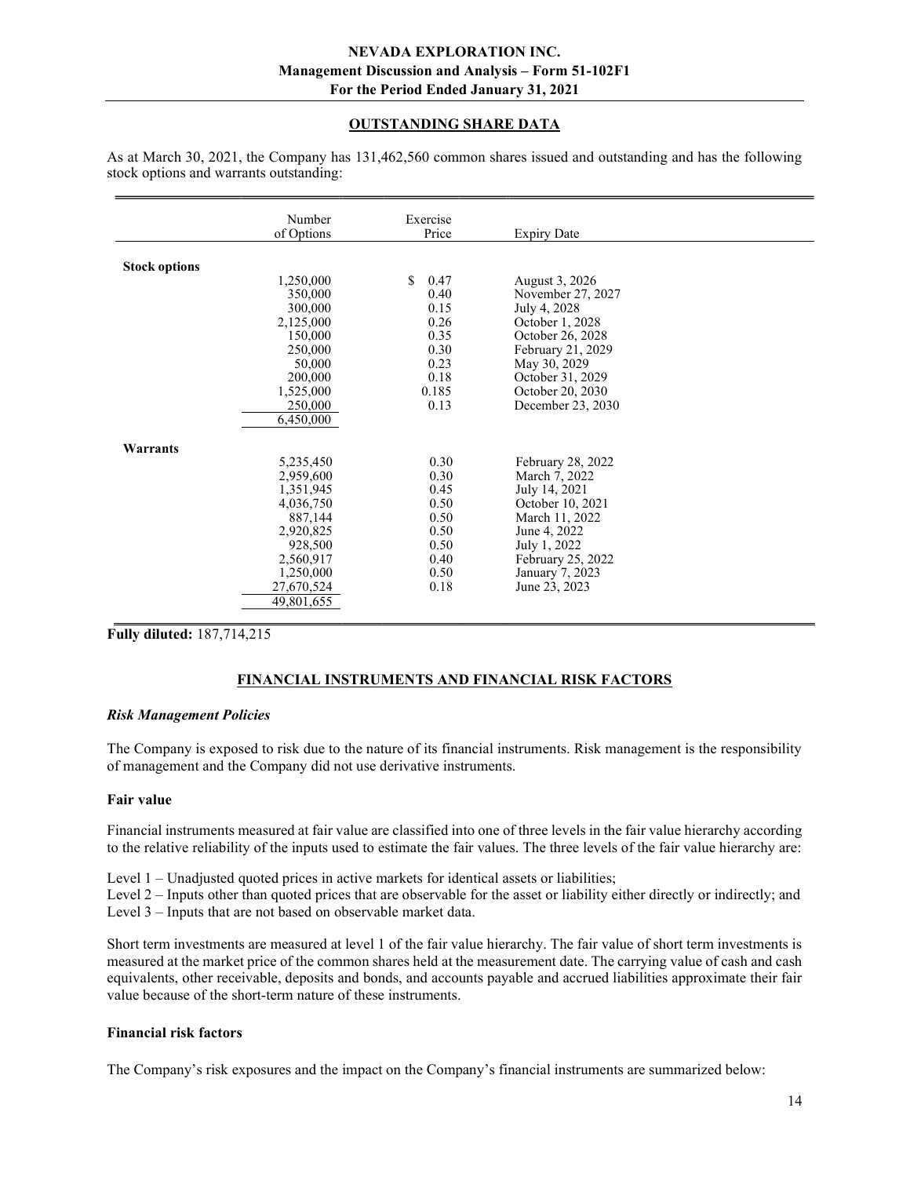## OUTSTANDING SHARE DATA

|                      | Number<br>of Options | Exercise<br>Price |                    |  |
|----------------------|----------------------|-------------------|--------------------|--|
|                      |                      |                   | <b>Expiry Date</b> |  |
|                      |                      |                   |                    |  |
| <b>Stock options</b> |                      |                   |                    |  |
|                      | 1,250,000            | \$<br>0.47        | August 3, 2026     |  |
|                      | 350,000              | 0.40              | November 27, 2027  |  |
|                      | 300,000              | 0.15              | July 4, 2028       |  |
|                      | 2,125,000            | 0.26              | October 1, 2028    |  |
|                      | 150,000              | 0.35              | October 26, 2028   |  |
|                      | 250,000              | 0.30              | February 21, 2029  |  |
|                      | 50,000               | 0.23              | May 30, 2029       |  |
|                      | 200,000              | 0.18              | October 31, 2029   |  |
|                      | 1,525,000            | 0.185             | October 20, 2030   |  |
|                      | 250,000              | 0.13              | December 23, 2030  |  |
|                      | 6,450,000            |                   |                    |  |
|                      |                      |                   |                    |  |
| Warrants             |                      |                   |                    |  |
|                      | 5,235,450            | 0.30              | February 28, 2022  |  |
|                      | 2,959,600            | 0.30              | March 7, 2022      |  |
|                      | 1,351,945            | 0.45              | July 14, 2021      |  |
|                      | 4,036,750            | 0.50              | October 10, 2021   |  |
|                      | 887,144              | 0.50              | March 11, 2022     |  |
|                      | 2,920,825            | 0.50              | June 4, 2022       |  |
|                      | 928,500              | 0.50              | July 1, 2022       |  |
|                      | 2,560,917            | 0.40              | February 25, 2022  |  |
|                      | 1,250,000            | 0.50              | January 7, 2023    |  |
|                      | 27,670,524           | 0.18              | June 23, 2023      |  |
|                      | 49,801,655           |                   |                    |  |
|                      |                      |                   |                    |  |

As at March 30, 2021, the Company has 131,462,560 common shares issued and outstanding and has the following stock options and warrants outstanding:

Fully diluted: 187,714,215

## FINANCIAL INSTRUMENTS AND FINANCIAL RISK FACTORS

#### Risk Management Policies

The Company is exposed to risk due to the nature of its financial instruments. Risk management is the responsibility of management and the Company did not use derivative instruments.

#### Fair value

Financial instruments measured at fair value are classified into one of three levels in the fair value hierarchy according to the relative reliability of the inputs used to estimate the fair values. The three levels of the fair value hierarchy are:

Level 1 – Unadjusted quoted prices in active markets for identical assets or liabilities;

Level 2 – Inputs other than quoted prices that are observable for the asset or liability either directly or indirectly; and Level 3 – Inputs that are not based on observable market data.

Short term investments are measured at level 1 of the fair value hierarchy. The fair value of short term investments is measured at the market price of the common shares held at the measurement date. The carrying value of cash and cash equivalents, other receivable, deposits and bonds, and accounts payable and accrued liabilities approximate their fair value because of the short-term nature of these instruments.

#### Financial risk factors

The Company's risk exposures and the impact on the Company's financial instruments are summarized below: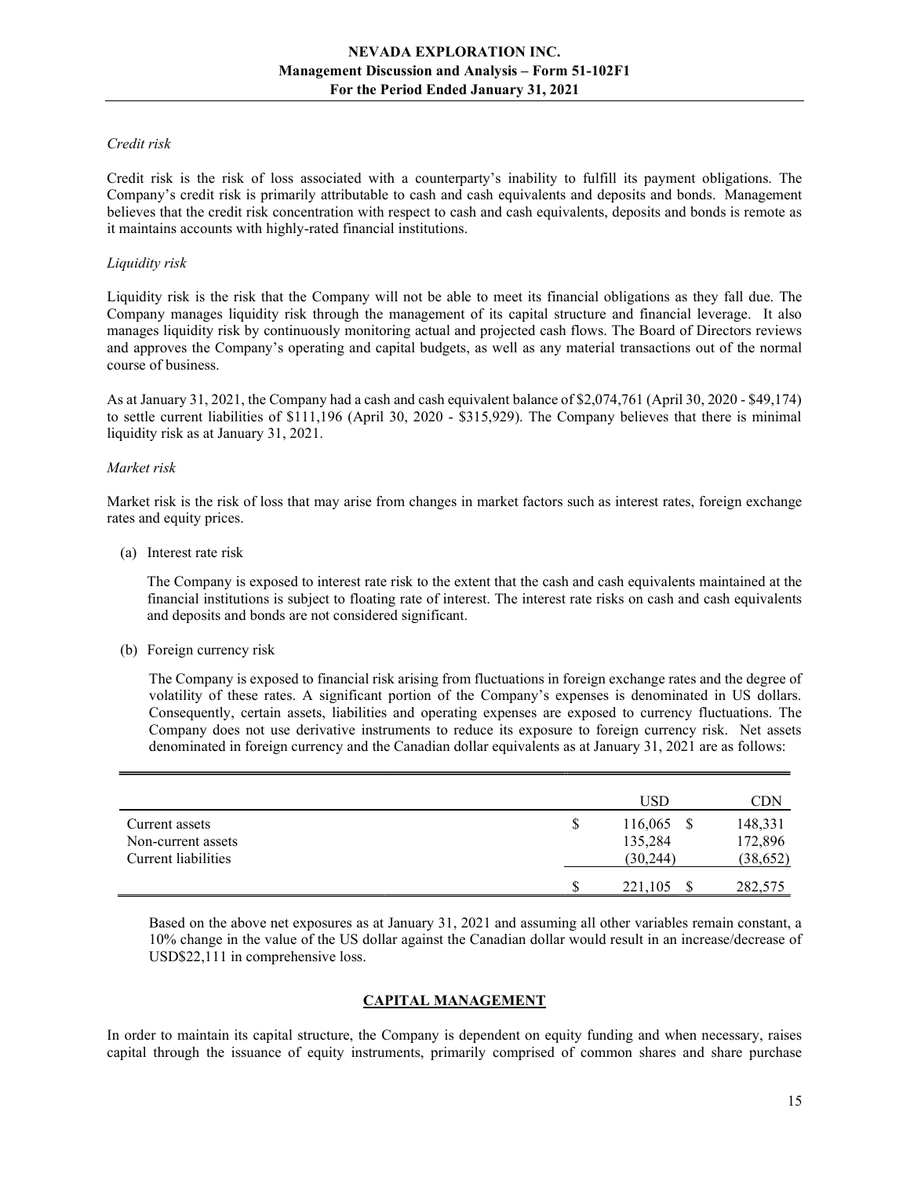#### Credit risk

Credit risk is the risk of loss associated with a counterparty's inability to fulfill its payment obligations. The Company's credit risk is primarily attributable to cash and cash equivalents and deposits and bonds. Management believes that the credit risk concentration with respect to cash and cash equivalents, deposits and bonds is remote as it maintains accounts with highly-rated financial institutions.

#### Liquidity risk

Liquidity risk is the risk that the Company will not be able to meet its financial obligations as they fall due. The Company manages liquidity risk through the management of its capital structure and financial leverage. It also manages liquidity risk by continuously monitoring actual and projected cash flows. The Board of Directors reviews and approves the Company's operating and capital budgets, as well as any material transactions out of the normal course of business.

As at January 31, 2021, the Company had a cash and cash equivalent balance of \$2,074,761 (April 30, 2020 - \$49,174) to settle current liabilities of \$111,196 (April 30, 2020 - \$315,929). The Company believes that there is minimal liquidity risk as at January 31, 2021.

#### Market risk

Market risk is the risk of loss that may arise from changes in market factors such as interest rates, foreign exchange rates and equity prices.

(a) Interest rate risk

 The Company is exposed to interest rate risk to the extent that the cash and cash equivalents maintained at the financial institutions is subject to floating rate of interest. The interest rate risks on cash and cash equivalents and deposits and bonds are not considered significant.

(b) Foreign currency risk

The Company is exposed to financial risk arising from fluctuations in foreign exchange rates and the degree of volatility of these rates. A significant portion of the Company's expenses is denominated in US dollars. Consequently, certain assets, liabilities and operating expenses are exposed to currency fluctuations. The Company does not use derivative instruments to reduce its exposure to foreign currency risk. Net assets denominated in foreign currency and the Canadian dollar equivalents as at January 31, 2021 are as follows:

|                                                             |   | <b>USD</b>                           | $\mathop{\rm CDN}\nolimits$     |
|-------------------------------------------------------------|---|--------------------------------------|---------------------------------|
| Current assets<br>Non-current assets<br>Current liabilities | S | $116,065$ \$<br>135,284<br>(30, 244) | 148,331<br>172,896<br>(38, 652) |
|                                                             |   | 221,105                              | 282,575                         |

Based on the above net exposures as at January 31, 2021 and assuming all other variables remain constant, a 10% change in the value of the US dollar against the Canadian dollar would result in an increase/decrease of USD\$22,111 in comprehensive loss.

## CAPITAL MANAGEMENT

In order to maintain its capital structure, the Company is dependent on equity funding and when necessary, raises capital through the issuance of equity instruments, primarily comprised of common shares and share purchase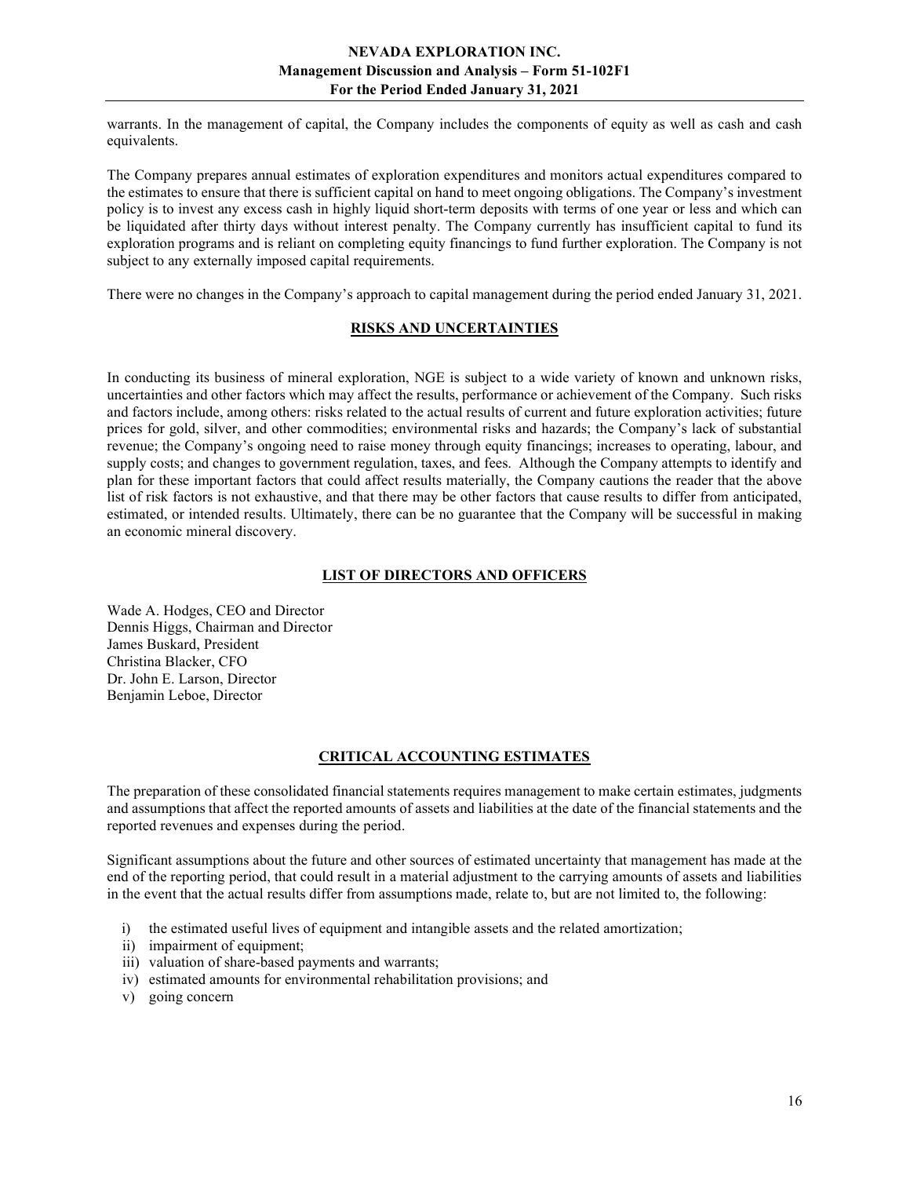warrants. In the management of capital, the Company includes the components of equity as well as cash and cash equivalents.

The Company prepares annual estimates of exploration expenditures and monitors actual expenditures compared to the estimates to ensure that there is sufficient capital on hand to meet ongoing obligations. The Company's investment policy is to invest any excess cash in highly liquid short-term deposits with terms of one year or less and which can be liquidated after thirty days without interest penalty. The Company currently has insufficient capital to fund its exploration programs and is reliant on completing equity financings to fund further exploration. The Company is not subject to any externally imposed capital requirements.

There were no changes in the Company's approach to capital management during the period ended January 31, 2021.

# RISKS AND UNCERTAINTIES

In conducting its business of mineral exploration, NGE is subject to a wide variety of known and unknown risks, uncertainties and other factors which may affect the results, performance or achievement of the Company. Such risks and factors include, among others: risks related to the actual results of current and future exploration activities; future prices for gold, silver, and other commodities; environmental risks and hazards; the Company's lack of substantial revenue; the Company's ongoing need to raise money through equity financings; increases to operating, labour, and supply costs; and changes to government regulation, taxes, and fees. Although the Company attempts to identify and plan for these important factors that could affect results materially, the Company cautions the reader that the above list of risk factors is not exhaustive, and that there may be other factors that cause results to differ from anticipated, estimated, or intended results. Ultimately, there can be no guarantee that the Company will be successful in making an economic mineral discovery.

#### LIST OF DIRECTORS AND OFFICERS

Wade A. Hodges, CEO and Director Dennis Higgs, Chairman and Director James Buskard, President Christina Blacker, CFO Dr. John E. Larson, Director Benjamin Leboe, Director

## CRITICAL ACCOUNTING ESTIMATES

The preparation of these consolidated financial statements requires management to make certain estimates, judgments and assumptions that affect the reported amounts of assets and liabilities at the date of the financial statements and the reported revenues and expenses during the period.

Significant assumptions about the future and other sources of estimated uncertainty that management has made at the end of the reporting period, that could result in a material adjustment to the carrying amounts of assets and liabilities in the event that the actual results differ from assumptions made, relate to, but are not limited to, the following:

- i) the estimated useful lives of equipment and intangible assets and the related amortization;
- ii) impairment of equipment;
- iii) valuation of share-based payments and warrants;
- iv) estimated amounts for environmental rehabilitation provisions; and
- v) going concern